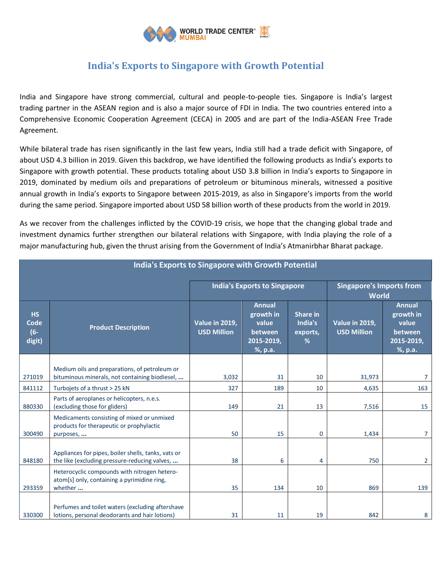

## **India's Exports to Singapore with Growth Potential**

India and Singapore have strong commercial, cultural and people-to-people ties. Singapore is India's largest trading partner in the ASEAN region and is also a major source of FDI in India. The two countries entered into a Comprehensive Economic Cooperation Agreement (CECA) in 2005 and are part of the India-ASEAN Free Trade Agreement.

While bilateral trade has risen significantly in the last few years, India still had a trade deficit with Singapore, of about USD 4.3 billion in 2019. Given this backdrop, we have identified the following products as India's exports to Singapore with growth potential. These products totaling about USD 3.8 billion in India's exports to Singapore in 2019, dominated by medium oils and preparations of petroleum or bituminous minerals, witnessed a positive annual growth in India's exports to Singapore between 2015-2019, as also in Singapore's imports from the world during the same period. Singapore imported about USD 58 billion worth of these products from the world in 2019.

As we recover from the challenges inflicted by the COVID-19 crisis, we hope that the changing global trade and investment dynamics further strengthen our bilateral relations with Singapore, with India playing the role of a major manufacturing hub, given the thrust arising from the Government of India's Atmanirbhar Bharat package.

| <b>India's Exports to Singapore with Growth Potential</b> |                                                                                                        |                                             |                                                                         |                                      |                                                 |                                                                         |  |  |  |
|-----------------------------------------------------------|--------------------------------------------------------------------------------------------------------|---------------------------------------------|-------------------------------------------------------------------------|--------------------------------------|-------------------------------------------------|-------------------------------------------------------------------------|--|--|--|
|                                                           |                                                                                                        | <b>India's Exports to Singapore</b>         |                                                                         |                                      | <b>Singapore's Imports from</b><br><b>World</b> |                                                                         |  |  |  |
| <b>HS</b><br>Code<br>$(6 -$<br>digit)                     | <b>Product Description</b>                                                                             | <b>Value in 2019,</b><br><b>USD Million</b> | <b>Annual</b><br>growth in<br>value<br>between<br>2015-2019,<br>%, p.a. | Share in<br>India's<br>exports,<br>% | <b>Value in 2019,</b><br><b>USD Million</b>     | <b>Annual</b><br>growth in<br>value<br>between<br>2015-2019,<br>%, p.a. |  |  |  |
|                                                           | Medium oils and preparations, of petroleum or                                                          |                                             |                                                                         |                                      |                                                 |                                                                         |  |  |  |
| 271019                                                    | bituminous minerals, not containing biodiesel,                                                         | 3,032                                       | 31                                                                      | 10                                   | 31,973                                          | $\overline{7}$                                                          |  |  |  |
| 841112                                                    | Turbojets of a thrust > 25 kN                                                                          | 327                                         | 189                                                                     | 10                                   | 4,635                                           | 163                                                                     |  |  |  |
| 880330                                                    | Parts of aeroplanes or helicopters, n.e.s.<br>(excluding those for gliders)                            | 149                                         | 21                                                                      | 13                                   | 7,516                                           | 15                                                                      |  |  |  |
| 300490                                                    | Medicaments consisting of mixed or unmixed<br>products for therapeutic or prophylactic<br>purposes,    | 50                                          | 15                                                                      | $\Omega$                             | 1,434                                           | $\overline{7}$                                                          |  |  |  |
| 848180                                                    | Appliances for pipes, boiler shells, tanks, vats or<br>the like (excluding pressure-reducing valves,   | 38                                          | 6                                                                       | 4                                    | 750                                             | $\overline{2}$                                                          |  |  |  |
| 293359                                                    | Heterocyclic compounds with nitrogen hetero-<br>atom[s] only, containing a pyrimidine ring,<br>whether | 35                                          | 134                                                                     | 10                                   | 869                                             | 139                                                                     |  |  |  |
| 330300                                                    | Perfumes and toilet waters (excluding aftershave<br>lotions, personal deodorants and hair lotions)     | 31                                          | 11                                                                      | 19                                   | 842                                             | 8                                                                       |  |  |  |